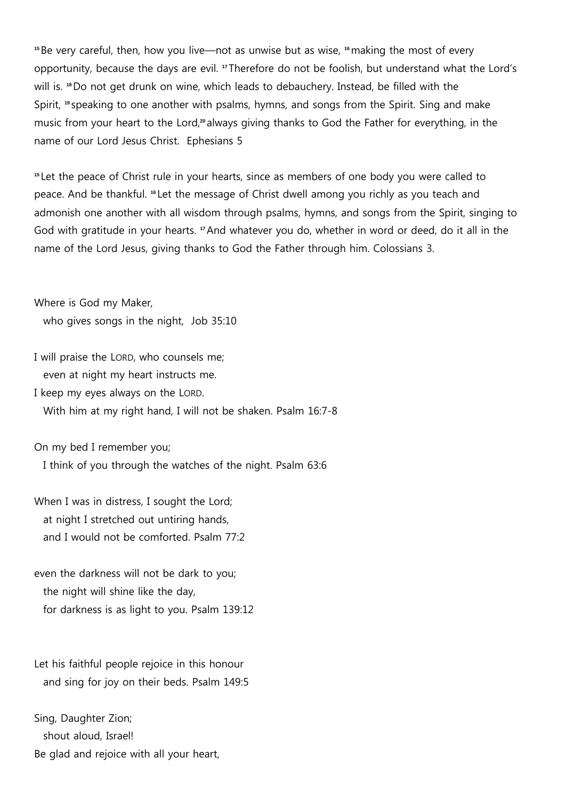**<sup>15</sup>**Be very careful, then, how you live—not as unwise but as wise, **<sup>16</sup>**making the most of every opportunity, because the days are evil. **<sup>17</sup>** Therefore do not be foolish, but understand what the Lord's will is. **<sup>18</sup>**Do not get drunk on wine, which leads to debauchery. Instead, be filled with the Spirit, **<sup>19</sup>** speaking to one another with psalms, hymns, and songs from the Spirit. Sing and make music from your heart to the Lord,**<sup>20</sup>** always giving thanks to God the Father for everything, in the name of our Lord Jesus Christ. Ephesians 5

**<sup>15</sup>** Let the peace of Christ rule in your hearts, since as members of one body you were called to peace. And be thankful. **<sup>16</sup>** Let the message of Christ dwell among you richly as you teach and admonish one another with all wisdom through psalms, hymns, and songs from the Spirit, singing to God with gratitude in your hearts. **<sup>17</sup>**And whatever you do, whether in word or deed, do it all in the name of the Lord Jesus, giving thanks to God the Father through him. Colossians 3.

Where is God my Maker, who gives songs in the night, Job 35:10

I will praise the LORD, who counsels me; even at night my heart instructs me.

I keep my eyes always on the LORD. With him at my right hand, I will not be shaken. Psalm 16:7-8

On my bed I remember you; I think of you through the watches of the night. Psalm 63:6

When I was in distress, I sought the Lord; at night I stretched out untiring hands, and I would not be comforted. Psalm 77:2

even the darkness will not be dark to you; the night will shine like the day, for darkness is as light to you. Psalm 139:12

Let his faithful people rejoice in this honour and sing for joy on their beds. Psalm 149:5

Sing, Daughter Zion; shout aloud, Israel! Be glad and rejoice with all your heart,